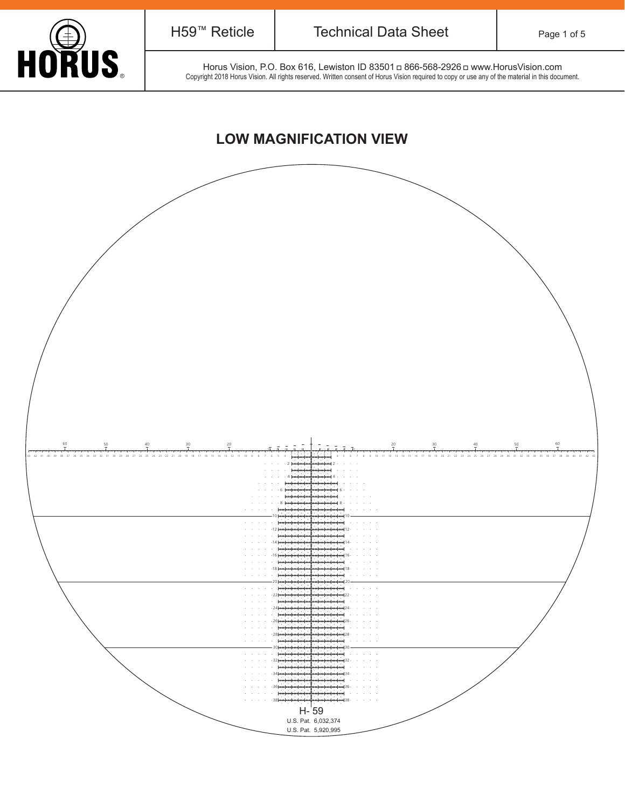

Horus Vision, P.O. Box 616, Lewiston ID 83501 a 866-568-2926 a www.HorusVision.com Horus Vision, P.O. Box 616, Lewiston ID 83501 a 866-568-2926 a www.HorusVision.com<br>Copyright 2018 Horus Vision. All rights reserved. Written consent of Horus Vision required to copy or use any of the material in this docum

## **LOW MAGNIFICATION VIEW**

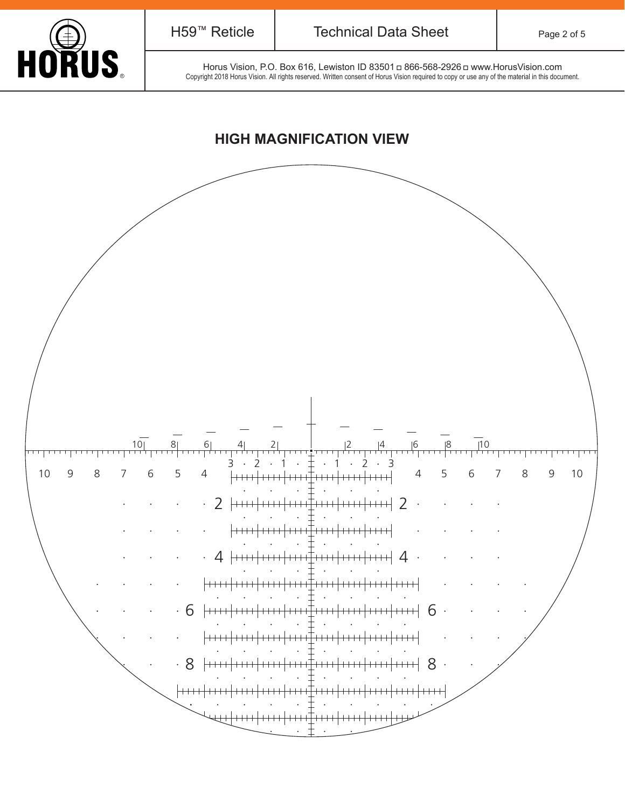

Horus Vision, P.O. Box 616, Lewiston ID 83501 a 866-568-2926 a www.HorusVision.com FORCES Horus Vision, P.O. Box 616, Lewiston ID 83501 a 866-568-2926 a www.HorusVision.com<br>Copyright 2018 Horus Vision. All rights reserved. Written consent of Horus Vision required to copy or use any of the material in thi

### **HIGH MAGNIFICATION VIEW**

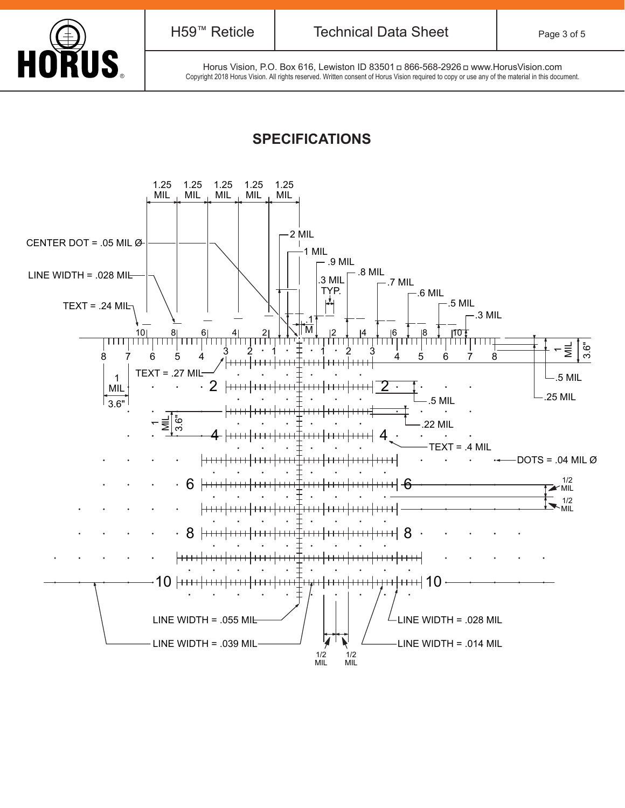

Horus Vision, P.O. Box 616, Lewiston ID 83501 a 866-568-2926 a www.HorusVision.com FORE SOLUSE Horus Vision, P.O. Box 616, Lewiston ID 83501 <del>□</del> 866-568-2926 □ www.HorusVision.com<br>Copyright 2018 Horus Vision. All rights reserved. Written consent of Horus Vision required to copy or use any of the material

## **SPECIFICATIONS**

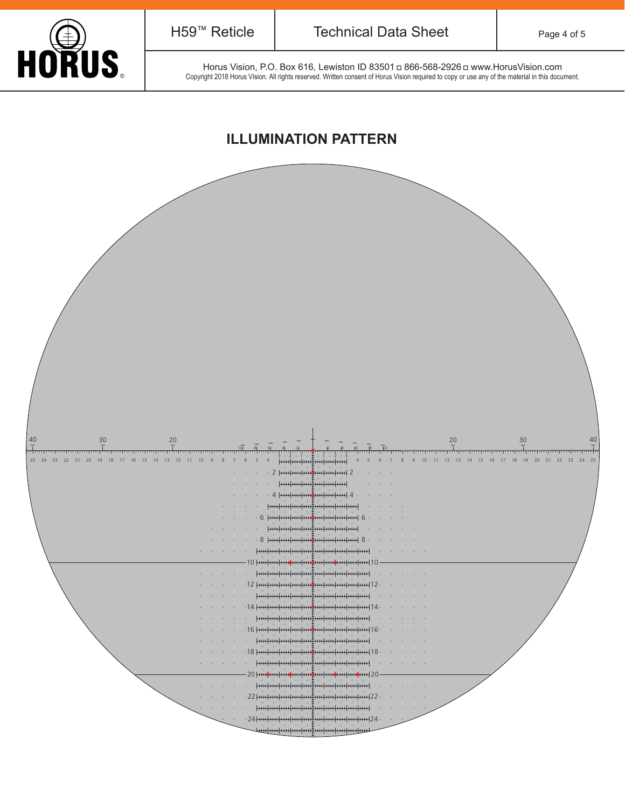

Horus Vision, P.O. Box 616, Lewiston ID 83501 a 866-568-2926 a www.HorusVision.com Horus Vision, P.O. Box 616, Lewiston ID 83501 a 866-568-2926 a www.HorusVision.com<br>Copyright 2018 Horus Vision. All rights reserved. Written consent of Horus Vision required to copy or use any of the material in this docum

#### **ILLUMINATION PATTERN**